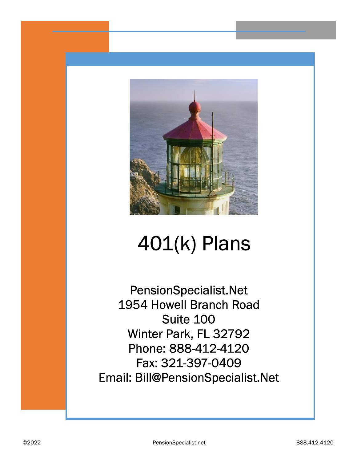

# 401(k) Plans

PensionSpecialist.Net 1954 Howell Branch Road Suite 100 Winter Park, FL 32792 Phone: 888-412-4120 Fax: 321-397-0409 Email: Bill@PensionSpecialist.Net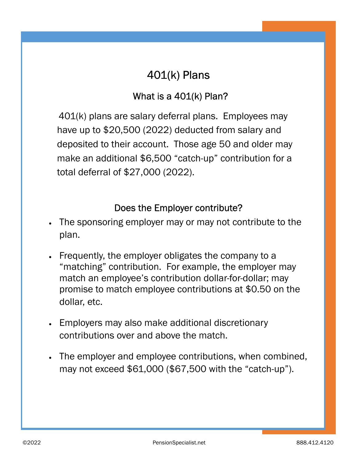# 401(k) Plans

#### What is a 401(k) Plan?

 401(k) plans are salary deferral plans. Employees may have up to \$20,500 (2022) deducted from salary and deposited to their account. Those age 50 and older may make an additional \$6,500 "catch-up" contribution for a total deferral of \$27,000 (2022).

#### Does the Employer contribute?

- The sponsoring employer may or may not contribute to the plan.
- · Frequently, the employer obligates the company to a "matching" contribution. For example, the employer may match an employee's contribution dollar-for-dollar; may promise to match employee contributions at \$0.50 on the dollar, etc.
- · Employers may also make additional discretionary contributions over and above the match.
- The employer and employee contributions, when combined, may not exceed \$61,000 (\$67,500 with the "catch-up").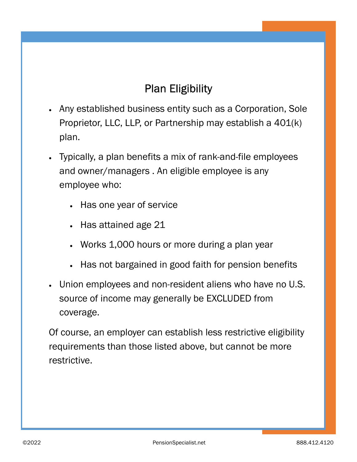# Plan Eligibility

- · Any established business entity such as a Corporation, Sole Proprietor, LLC, LLP, or Partnership may establish a 401(k) plan.
- · Typically, a plan benefits a mix of rank-and-file employees and owner/managers . An eligible employee is any employee who:
	- · Has one year of service
	- Has attained age 21
	- · Works 1,000 hours or more during a plan year
	- Has not bargained in good faith for pension benefits
- · Union employees and non-resident aliens who have no U.S. source of income may generally be EXCLUDED from coverage.

Of course, an employer can establish less restrictive eligibility requirements than those listed above, but cannot be more restrictive.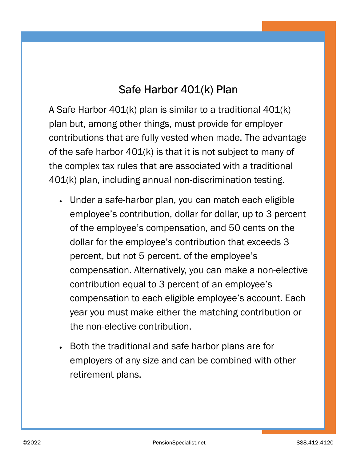## Safe Harbor 401(k) Plan

A Safe Harbor 401(k) plan is similar to a traditional 401(k) plan but, among other things, must provide for employer contributions that are fully vested when made. The advantage of the safe harbor  $401(k)$  is that it is not subject to many of the complex tax rules that are associated with a traditional 401(k) plan, including annual non-discrimination testing.

- · Under a safe-harbor plan, you can match each eligible employee's contribution, dollar for dollar, up to 3 percent of the employee's compensation, and 50 cents on the dollar for the employee's contribution that exceeds 3 percent, but not 5 percent, of the employee's compensation. Alternatively, you can make a non-elective contribution equal to 3 percent of an employee's compensation to each eligible employee's account. Each year you must make either the matching contribution or the non-elective contribution.
- · Both the traditional and safe harbor plans are for employers of any size and can be combined with other retirement plans.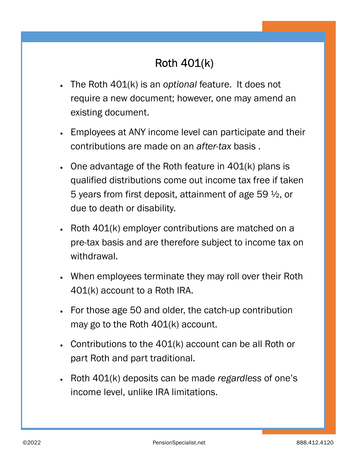# Roth 401(k)

- The Roth  $401(k)$  is an optional feature. It does not require a new document; however, one may amend an existing document.
- · Employees at ANY income level can participate and their contributions are made on an after-tax basis .
- · One advantage of the Roth feature in 401(k) plans is qualified distributions come out income tax free if taken 5 years from first deposit, attainment of age 59 ½, or due to death or disability.
- Roth 401(k) employer contributions are matched on a pre-tax basis and are therefore subject to income tax on withdrawal.
- · When employees terminate they may roll over their Roth 401(k) account to a Roth IRA.
- · For those age 50 and older, the catch-up contribution may go to the Roth 401(k) account.
- · Contributions to the 401(k) account can be all Roth or part Roth and part traditional.
- Roth 401(k) deposits can be made regardless of one's income level, unlike IRA limitations.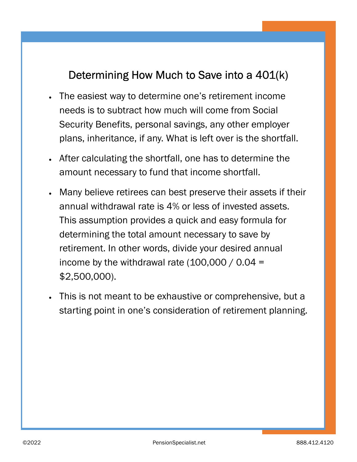## Determining How Much to Save into a 401(k)

- The easiest way to determine one's retirement income needs is to subtract how much will come from Social Security Benefits, personal savings, any other employer plans, inheritance, if any. What is left over is the shortfall.
- After calculating the shortfall, one has to determine the amount necessary to fund that income shortfall.
- · Many believe retirees can best preserve their assets if their annual withdrawal rate is 4% or less of invested assets. This assumption provides a quick and easy formula for determining the total amount necessary to save by retirement. In other words, divide your desired annual income by the withdrawal rate  $(100,000 / 0.04 =$ \$2,500,000).
- This is not meant to be exhaustive or comprehensive, but a starting point in one's consideration of retirement planning.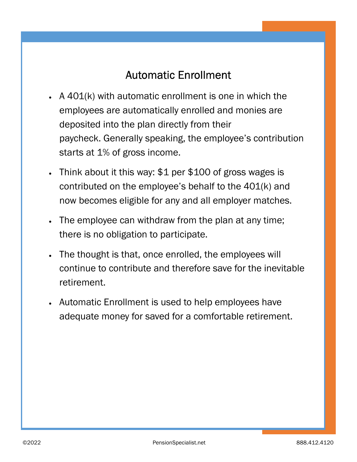### Automatic Enrollment

- A 401(k) with automatic enrollment is one in which the employees are automatically enrolled and monies are deposited into the plan directly from their paycheck. Generally speaking, the employee's contribution starts at 1% of gross income.
- Think about it this way: \$1 per \$100 of gross wages is contributed on the employee's behalf to the 401(k) and now becomes eligible for any and all employer matches.
- The employee can withdraw from the plan at any time; there is no obligation to participate.
- · The thought is that, once enrolled, the employees will continue to contribute and therefore save for the inevitable retirement.
- · Automatic Enrollment is used to help employees have adequate money for saved for a comfortable retirement.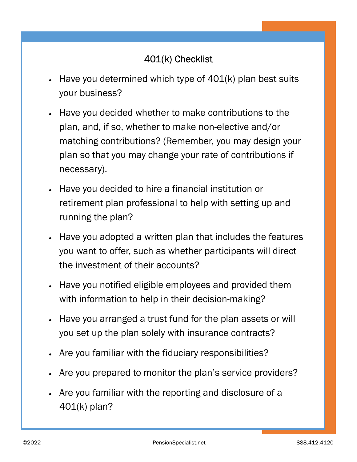#### 401(k) Checklist

- Have you determined which type of  $401(k)$  plan best suits your business?
- · Have you decided whether to make contributions to the plan, and, if so, whether to make non-elective and/or matching contributions? (Remember, you may design your plan so that you may change your rate of contributions if necessary).
- · Have you decided to hire a financial institution or retirement plan professional to help with setting up and running the plan?
- · Have you adopted a written plan that includes the features you want to offer, such as whether participants will direct the investment of their accounts?
- · Have you notified eligible employees and provided them with information to help in their decision-making?
- · Have you arranged a trust fund for the plan assets or will you set up the plan solely with insurance contracts?
- · Are you familiar with the fiduciary responsibilities?
- Are you prepared to monitor the plan's service providers?
- Are you familiar with the reporting and disclosure of a 401(k) plan?